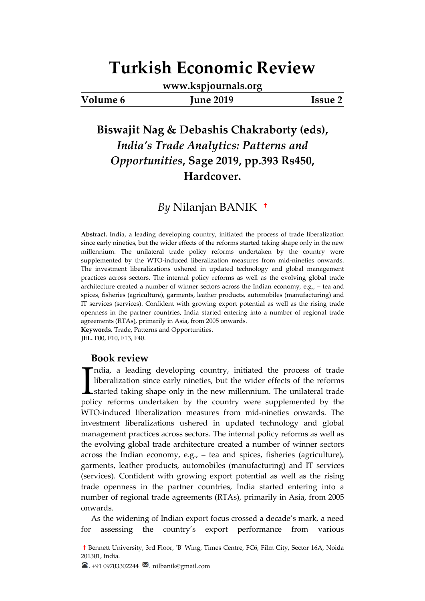# **Turkish Economic Review**

**www.kspjournals.org**

**Volume 6 June 2019 Issue 2**

## **Biswajit Nag & Debashis Chakraborty (eds),**

## *India's Trade Analytics: Patterns and Opportunities***, Sage 2019, pp.393 Rs450, Hardcover.**

### *By* Nil[a](#page-0-0)njan BANIK <sup>+</sup>

**Abstract.** India, a leading developing country, initiated the process of trade liberalization since early nineties, but the wider effects of the reforms started taking shape only in the new millennium. The unilateral trade policy reforms undertaken by the country were supplemented by the WTO-induced liberalization measures from mid-nineties onwards. The investment liberalizations ushered in updated technology and global management practices across sectors. The internal policy reforms as well as the evolving global trade architecture created a number of winner sectors across the Indian economy, e.g., – tea and spices, fisheries (agriculture), garments, leather products, automobiles (manufacturing) and IT services (services). Confident with growing export potential as well as the rising trade openness in the partner countries, India started entering into a number of regional trade agreements (RTAs), primarily in Asia, from 2005 onwards.

**Keywords.** Trade, Patterns and Opportunities. **JEL.** F00, F10, F13, F40.

#### **Book review**

ndia, a leading developing country, initiated the process of trade liberalization since early nineties, but the wider effects of the reforms started taking shape only in the new millennium. The unilateral trade India, a leading developing country, initiated the process of trade liberalization since early nineties, but the wider effects of the reforms started taking shape only in the new millennium. The unilateral trade policy ref WTO-induced liberalization measures from mid-nineties onwards. The investment liberalizations ushered in updated technology and global management practices across sectors. The internal policy reforms as well as the evolving global trade architecture created a number of winner sectors across the Indian economy, e.g., – tea and spices, fisheries (agriculture), garments, leather products, automobiles (manufacturing) and IT services (services). Confident with growing export potential as well as the rising trade openness in the partner countries, India started entering into a number of regional trade agreements (RTAs), primarily in Asia, from 2005 onwards.

As the widening of Indian export focus crossed a decade's mark, a need for assessing the country's export performance from various

<span id="page-0-1"></span><span id="page-0-0"></span>**a†** Bennett University, 3rd Floor, 'B' Wing, Times Centre, FC6, Film City, Sector 16A, Noida 201301, India.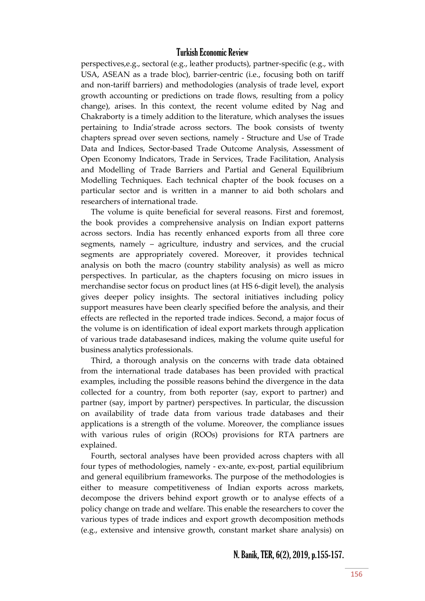#### Turkish Economic Review

perspectives,e.g., sectoral (e.g., leather products), partner-specific (e.g., with USA, ASEAN as a trade bloc), barrier-centric (i.e., focusing both on tariff and non-tariff barriers) and methodologies (analysis of trade level, export growth accounting or predictions on trade flows, resulting from a policy change), arises. In this context, the recent volume edited by Nag and Chakraborty is a timely addition to the literature, which analyses the issues pertaining to India'strade across sectors. The book consists of twenty chapters spread over seven sections, namely - Structure and Use of Trade Data and Indices, Sector-based Trade Outcome Analysis, Assessment of Open Economy Indicators, Trade in Services, Trade Facilitation, Analysis and Modelling of Trade Barriers and Partial and General Equilibrium Modelling Techniques. Each technical chapter of the book focuses on a particular sector and is written in a manner to aid both scholars and researchers of international trade.

The volume is quite beneficial for several reasons. First and foremost, the book provides a comprehensive analysis on Indian export patterns across sectors. India has recently enhanced exports from all three core segments, namely – agriculture, industry and services, and the crucial segments are appropriately covered. Moreover, it provides technical analysis on both the macro (country stability analysis) as well as micro perspectives. In particular, as the chapters focusing on micro issues in merchandise sector focus on product lines (at HS 6-digit level), the analysis gives deeper policy insights. The sectoral initiatives including policy support measures have been clearly specified before the analysis, and their effects are reflected in the reported trade indices. Second, a major focus of the volume is on identification of ideal export markets through application of various trade databasesand indices, making the volume quite useful for business analytics professionals.

Third, a thorough analysis on the concerns with trade data obtained from the international trade databases has been provided with practical examples, including the possible reasons behind the divergence in the data collected for a country, from both reporter (say, export to partner) and partner (say, import by partner) perspectives. In particular, the discussion on availability of trade data from various trade databases and their applications is a strength of the volume. Moreover, the compliance issues with various rules of origin (ROOs) provisions for RTA partners are explained.

Fourth, sectoral analyses have been provided across chapters with all four types of methodologies, namely - ex-ante, ex-post, partial equilibrium and general equilibrium frameworks. The purpose of the methodologies is either to measure competitiveness of Indian exports across markets, decompose the drivers behind export growth or to analyse effects of a policy change on trade and welfare. This enable the researchers to cover the various types of trade indices and export growth decomposition methods (e.g., extensive and intensive growth, constant market share analysis) on

N. Banik, TER, 6(2), 2019, p.155-157.